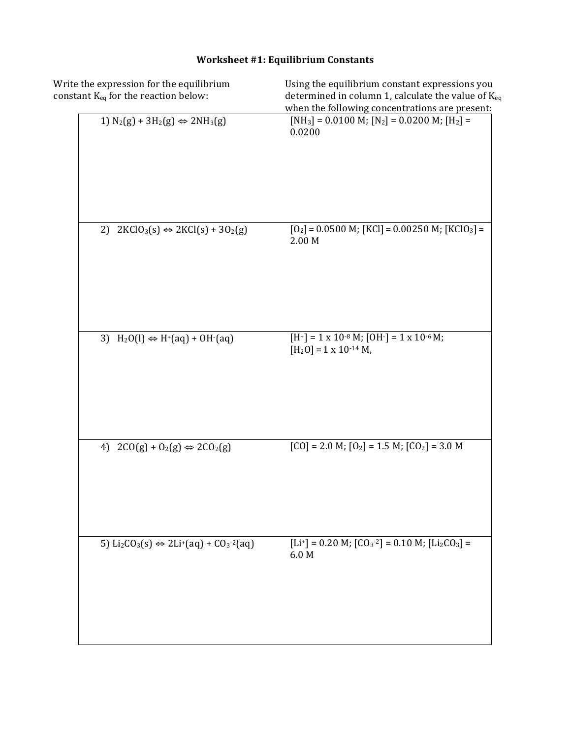| Write the expression for the equilibrium<br>constant K <sub>eq</sub> for the reaction below: | Using the equilibrium constant expressions you<br>determined in column 1, calculate the value of $K_{eq}$<br>when the following concentrations are present: |
|----------------------------------------------------------------------------------------------|-------------------------------------------------------------------------------------------------------------------------------------------------------------|
| 1) $N_2(g) + 3H_2(g) \Leftrightarrow 2NH_3(g)$                                               | [NH <sub>3</sub> ] = 0.0100 M; [N <sub>2</sub> ] = 0.0200 M; [H <sub>2</sub> ] =<br>0.0200                                                                  |
| $2KClO_3(s) \Leftrightarrow 2KCl(s) + 3O_2(g)$<br>2)                                         | $[O_2] = 0.0500$ M; $[KCI] = 0.00250$ M; $[KClO_3] =$<br>2.00 M                                                                                             |
| 3) $H_2O(l) \Leftrightarrow H^+(aq) + OH^-(aq)$                                              | $[H^+] = 1 \times 10^{-8}$ M; $[OH^-] = 1 \times 10^{-6}$ M;<br>$[H2O] = 1 \times 10^{-14} M,$                                                              |
| 4) $2CO(g) + O_2(g) \Leftrightarrow 2CO_2(g)$                                                | $[CO] = 2.0 M$ ; $[O2] = 1.5 M$ ; $[CO2] = 3.0 M$                                                                                                           |
| 5) $Li_2CO_3(s) \Leftrightarrow 2Li^+(aq) + CO_3^{-2}(aq)$                                   | [Li <sup>+</sup> ] = 0.20 M; [CO <sub>3</sub> <sup>-2</sup> ] = 0.10 M; [Li <sub>2</sub> CO <sub>3</sub> ] =<br>$6.0\ \text{M}$                             |
|                                                                                              |                                                                                                                                                             |

# **Worksheet #1: Equilibrium Constants**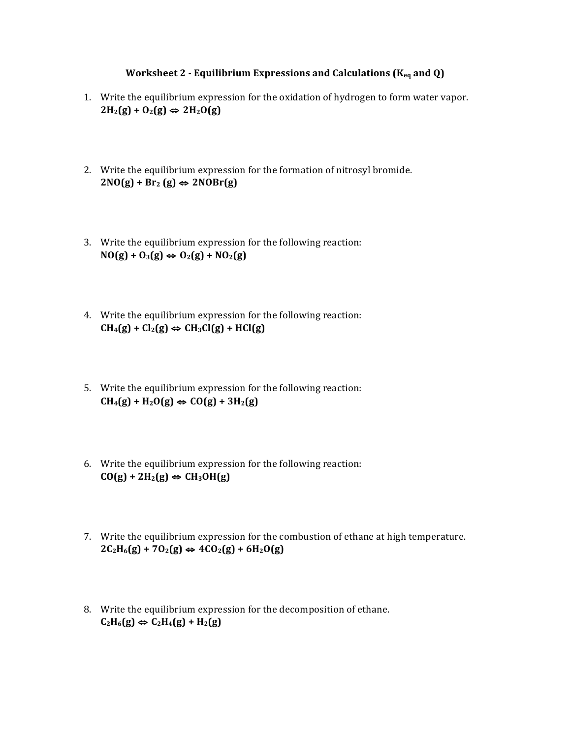### **Worksheet 2 - Equilibrium Expressions and Calculations (K<sub>eq</sub> and Q)**

- 1. Write the equilibrium expression for the oxidation of hydrogen to form water vapor.  $2H_2(g) + O_2(g) \Leftrightarrow 2H_2O(g)$
- 2. Write the equilibrium expression for the formation of nitrosyl bromide.  $2NO(g) + Br_2(g) \Leftrightarrow 2NORr(g)$
- 3. Write the equilibrium expression for the following reaction:  $NO(g) + O_3(g) \Leftrightarrow O_2(g) + NO_2(g)$
- 4. Write the equilibrium expression for the following reaction:  $CH_4(g) + Cl_2(g) \Leftrightarrow CH_3Cl(g) + HCl(g)$
- 5. Write the equilibrium expression for the following reaction:  $CH_4(g) + H_2O(g) \Leftrightarrow CO(g) + 3H_2(g)$
- 6. Write the equilibrium expression for the following reaction:  $CO(g) + 2H_2(g) \Leftrightarrow CH_3OH(g)$
- 7. Write the equilibrium expression for the combustion of ethane at high temperature.  $2C_2H_6(g) + 7O_2(g)$  ⇔  $4CO_2(g) + 6H_2O(g)$
- 8. Write the equilibrium expression for the decomposition of ethane.  $C_2H_6(g) \Leftrightarrow C_2H_4(g) + H_2(g)$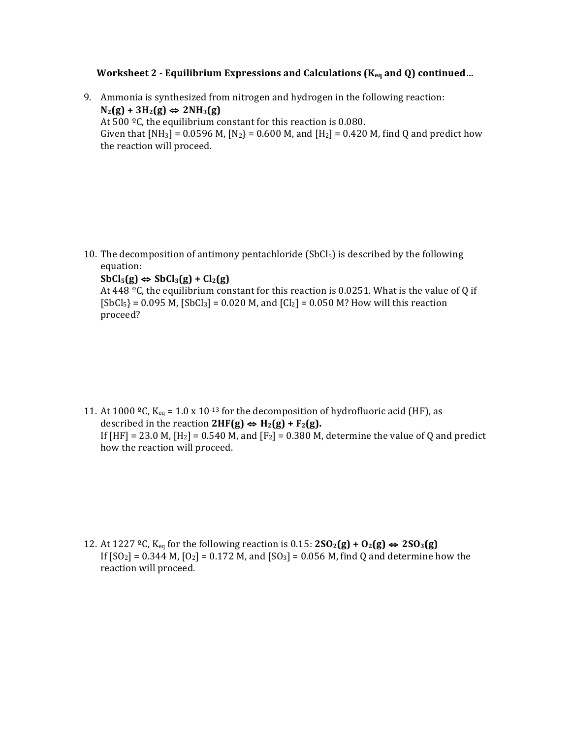### **Worksheet 2** - Equilibrium Expressions and Calculations (K<sub>eq</sub> and Q) continued...

9. Ammonia is synthesized from nitrogen and hydrogen in the following reaction:  $N_2(g) + 3H_2(g) \Leftrightarrow 2NH_3(g)$ At  $500 \degree C$ , the equilibrium constant for this reaction is 0.080. Given that  $[NH_3] = 0.0596 M$ ,  $[N_2] = 0.600 M$ , and  $[H_2] = 0.420 M$ , find Q and predict how the reaction will proceed.

10. The decomposition of antimony pentachloride  $(SbCl<sub>5</sub>)$  is described by the following equation:

### $SbCl_5(g) \Leftrightarrow SbCl_3(g) + Cl_2(g)$

At 448  $^{\circ}$ C, the equilibrium constant for this reaction is 0.0251. What is the value of Q if  $[SbCl_5] = 0.095 M$ ,  $[SbCl_3] = 0.020 M$ , and  $[Cl_2] = 0.050 M$ ? How will this reaction proceed?

11. At 1000 °C,  $K_{eq}$  = 1.0 x 10<sup>-13</sup> for the decomposition of hydrofluoric acid (HF), as described in the reaction  $2HF(g) \Leftrightarrow H_2(g) + F_2(g)$ . If  $[HF] = 23.0 M$ ,  $[H_2] = 0.540 M$ , and  $[F_2] = 0.380 M$ , determine the value of Q and predict how the reaction will proceed.

12. At 1227 <sup>o</sup>C, K<sub>eq</sub> for the following reaction is 0.15:  $2SO_2(g) + O_2(g)$   $\Leftrightarrow$   $2SO_3(g)$ If  $[SO_2] = 0.344$  M,  $[O_2] = 0.172$  M, and  $[SO_3] = 0.056$  M, find Q and determine how the reaction will proceed.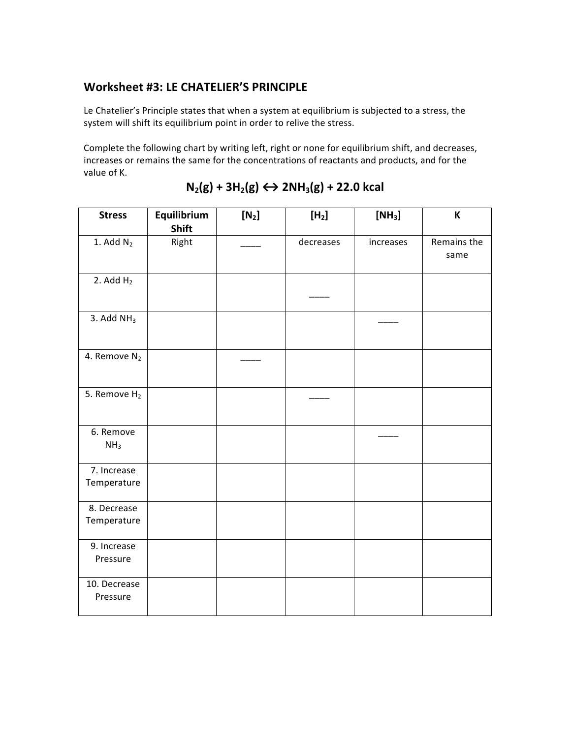## Worksheet #3: LE CHATELIER'S PRINCIPLE

Le Chatelier's Principle states that when a system at equilibrium is subjected to a stress, the system will shift its equilibrium point in order to relive the stress.

Complete the following chart by writing left, right or none for equilibrium shift, and decreases, increases or remains the same for the concentrations of reactants and products, and for the value of K.

| <b>Stress</b>                | Equilibrium<br><b>Shift</b> | $[N_2]$ | [H <sub>2</sub> ] | [NH <sub>3</sub> ] | K                   |
|------------------------------|-----------------------------|---------|-------------------|--------------------|---------------------|
| 1. Add $N_2$                 | Right                       |         | decreases         | increases          | Remains the<br>same |
| 2. Add $H2$                  |                             |         |                   |                    |                     |
| 3. Add $NH3$                 |                             |         |                   |                    |                     |
| 4. Remove N <sub>2</sub>     |                             |         |                   |                    |                     |
| 5. Remove $H_2$              |                             |         |                   |                    |                     |
| 6. Remove<br>NH <sub>3</sub> |                             |         |                   |                    |                     |
| 7. Increase<br>Temperature   |                             |         |                   |                    |                     |
| 8. Decrease<br>Temperature   |                             |         |                   |                    |                     |
| 9. Increase<br>Pressure      |                             |         |                   |                    |                     |
| 10. Decrease<br>Pressure     |                             |         |                   |                    |                     |

# $N_2(g) + 3H_2(g) \leftrightarrow 2NH_3(g) + 22.0$  kcal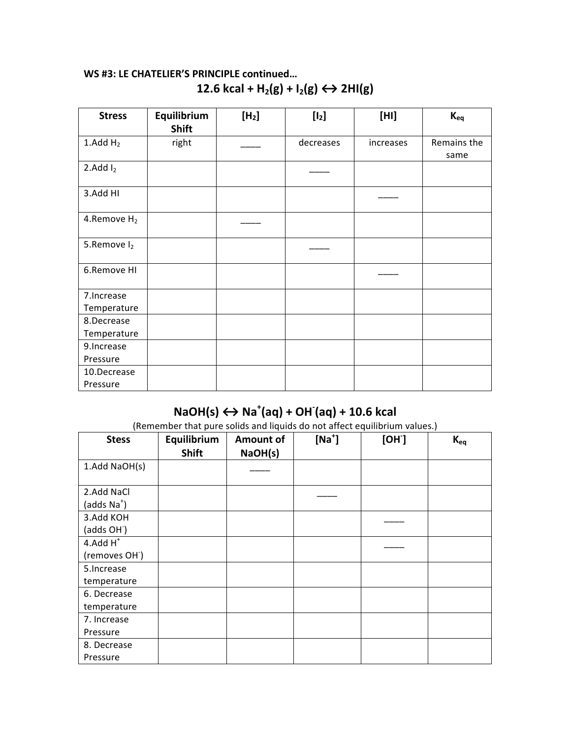## **WS #3: LE CHATELIER'S PRINCIPLE continued…** 12.6 kcal +  $H_2(g) + I_2(g) \leftrightarrow 2H1(g)$

| <b>Stress</b>           | Equilibrium<br><b>Shift</b> | [H <sub>2</sub> ] | [1 <sub>2</sub> ] | [HH]      | $K_{eq}$            |
|-------------------------|-----------------------------|-------------------|-------------------|-----------|---------------------|
| 1. $Add H2$             | right                       |                   | decreases         | increases | Remains the<br>same |
| 2.Add $I_2$             |                             |                   |                   |           |                     |
| 3.Add HI                |                             |                   |                   |           |                     |
| 4.Remove H <sub>2</sub> |                             |                   |                   |           |                     |
| 5.Remove I <sub>2</sub> |                             |                   |                   |           |                     |
| 6.Remove HI             |                             |                   |                   |           |                     |
| 7. Increase             |                             |                   |                   |           |                     |
| Temperature             |                             |                   |                   |           |                     |
| 8.Decrease              |                             |                   |                   |           |                     |
| Temperature             |                             |                   |                   |           |                     |
| 9. Increase             |                             |                   |                   |           |                     |
| Pressure                |                             |                   |                   |           |                     |
| 10.Decrease             |                             |                   |                   |           |                     |
| Pressure                |                             |                   |                   |           |                     |

# **NaOH(s) ↔ Na<sup>+</sup>(aq) + OH<sup>-</sup>(aq) + 10.6 kcal**

(Remember that pure solids and liquids do not affect equilibrium values.)

| <b>Stess</b>               | Equilibrium  | <b>Amount of</b> | $[Na^+]$ | [OH] | $K_{eq}$ |
|----------------------------|--------------|------------------|----------|------|----------|
|                            | <b>Shift</b> | NaOH(s)          |          |      |          |
| 1.Add NaOH(s)              |              |                  |          |      |          |
|                            |              |                  |          |      |          |
| 2.Add NaCl                 |              |                  |          |      |          |
| (adds Na <sup>+</sup> )    |              |                  |          |      |          |
| 3.Add KOH                  |              |                  |          |      |          |
| (adds OH <sup>-</sup> )    |              |                  |          |      |          |
| $4.$ Add $H^+$             |              |                  |          |      |          |
| (removes OH <sup>-</sup> ) |              |                  |          |      |          |
| 5.Increase                 |              |                  |          |      |          |
| temperature                |              |                  |          |      |          |
| 6. Decrease                |              |                  |          |      |          |
| temperature                |              |                  |          |      |          |
| 7. Increase                |              |                  |          |      |          |
| Pressure                   |              |                  |          |      |          |
| 8. Decrease                |              |                  |          |      |          |
| Pressure                   |              |                  |          |      |          |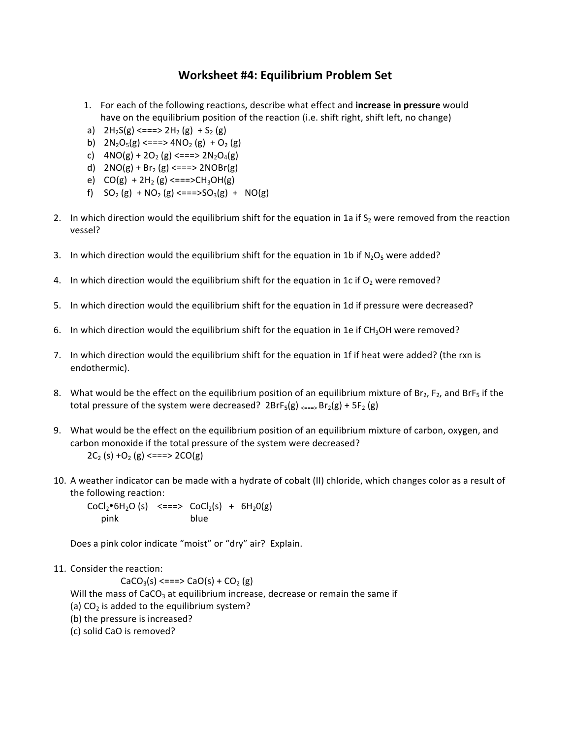## **Worksheet #4: Equilibrium Problem Set**

- 1. For each of the following reactions, describe what effect and **increase in pressure** would have on the equilibrium position of the reaction (i.e. shift right, shift left, no change)
- a)  $2H_2S(g) \leq x = x > 2H_2(g) + S_2(g)$
- b)  $2N_2O_5(g) \leq 2N_2O_2(g) + O_2(g)$
- c)  $4NO(g) + 2O_2(g) \leq 2(S) = 2N_2O_4(g)$
- d)  $2NO(g) + Br_2(g) \leq == > 2NOBr(g)$
- e)  $CO(g) + 2H_2(g) \leq = = >>CH_3OH(g)$
- f)  $SO_2(g) + NO_2(g) \leq = = >>SO_3(g) + NO(g)$
- 2. In which direction would the equilibrium shift for the equation in 1a if  $S_2$  were removed from the reaction vessel?
- 3. In which direction would the equilibrium shift for the equation in 1b if  $N_2O_5$  were added?
- 4. In which direction would the equilibrium shift for the equation in 1c if  $O_2$  were removed?
- 5. In which direction would the equilibrium shift for the equation in 1d if pressure were decreased?
- 6. In which direction would the equilibrium shift for the equation in 1e if  $CH<sub>3</sub>OH$  were removed?
- 7. In which direction would the equilibrium shift for the equation in 1f if heat were added? (the rxn is endothermic).
- 8. What would be the effect on the equilibrium position of an equilibrium mixture of  $Br_2$ ,  $F_2$ , and BrF<sub>5</sub> if the total pressure of the system were decreased?  $2BrF_5(g) \xrightarrow{2} Br_2(g) + 5F_2(g)$
- 9. What would be the effect on the equilibrium position of an equilibrium mixture of carbon, oxygen, and carbon monoxide if the total pressure of the system were decreased?  $2C_2$  (s)  $+O_2$  (g)  $\leq == > 2CO(g)$
- 10. A weather indicator can be made with a hydrate of cobalt (II) chloride, which changes color as a result of the following reaction:

 $CoCl<sub>2</sub>•6H<sub>2</sub>O(s)$  <===>  $CoCl<sub>2</sub>(s) + 6H<sub>2</sub>O(g)$ pink blue

Does a pink color indicate "moist" or "dry" air? Explain.

11. Consider the reaction:

 $CaCO<sub>3</sub>(s) \leq ==> CaO(s) + CO<sub>2</sub>(g)$ 

Will the mass of CaCO<sub>3</sub> at equilibrium increase, decrease or remain the same if

(a)  $CO<sub>2</sub>$  is added to the equilibrium system?

- (b) the pressure is increased?
- (c) solid CaO is removed?